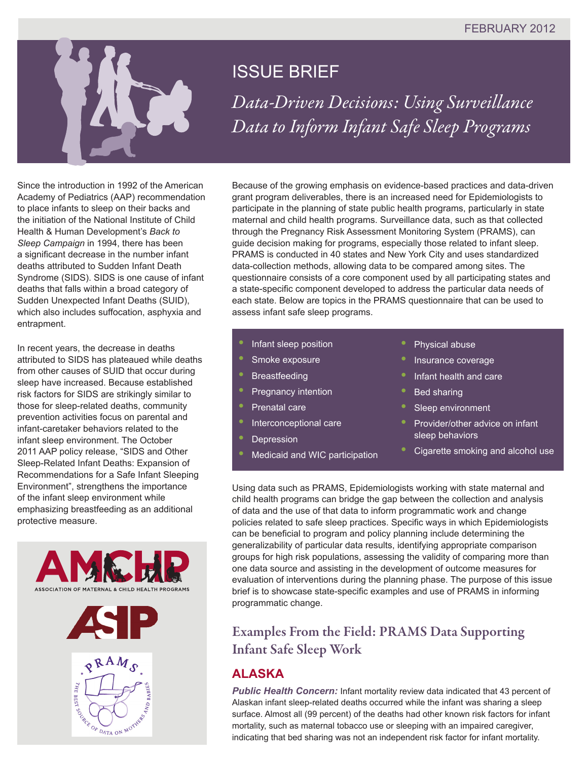

# ISSUE BRIEF

*Data-Driven Decisions: Using Surveillance Data to Inform Infant Safe Sleep Programs* 

Since the introduction in 1992 of the American Academy of Pediatrics (AAP) recommendation to place infants to sleep on their backs and the initiation of the National Institute of Child Health & Human Development's *Back to Sleep Campaign* in 1994, there has been a significant decrease in the number infant deaths attributed to Sudden Infant Death Syndrome (SIDS). SIDS is one cause of infant deaths that falls within a broad category of Sudden Unexpected Infant Deaths (SUID), which also includes suffocation, asphyxia and entrapment.

In recent years, the decrease in deaths attributed to SIDS has plateaued while deaths from other causes of SUID that occur during sleep have increased. Because established risk factors for SIDS are strikingly similar to those for sleep-related deaths, community prevention activities focus on parental and infant-caretaker behaviors related to the infant sleep environment. The October 2011 AAP policy release, "SIDS and Other Sleep-Related Infant Deaths: Expansion of Recommendations for a Safe Infant Sleeping Environment", strengthens the importance of the infant sleep environment while emphasizing breastfeeding as an additional protective measure.





Because of the growing emphasis on evidence-based practices and data-driven grant program deliverables, there is an increased need for Epidemiologists to participate in the planning of state public health programs, particularly in state maternal and child health programs. Surveillance data, such as that collected through the Pregnancy Risk Assessment Monitoring System (PRAMS), can guide decision making for programs, especially those related to infant sleep. PRAMS is conducted in 40 states and New York City and uses standardized data-collection methods, allowing data to be compared among sites. The questionnaire consists of a core component used by all participating states and a state-specific component developed to address the particular data needs of each state. Below are topics in the PRAMS questionnaire that can be used to assess infant safe sleep programs.

- **•** Infant sleep position
- **•** Smoke exposure
- **•** Breastfeeding
- **•** Pregnancy intention
- **•** Prenatal care
- **•** Interconceptional care
- **•** Depression
- **•** Medicaid and WIC participation
- **•** Physical abuse
- **•** Insurance coverage
- **•** Infant health and care
- **Bed sharing**
- **•** Sleep environment
- **•** Provider/other advice on infant sleep behaviors
- **•** Cigarette smoking and alcohol use

Using data such as PRAMS, Epidemiologists working with state maternal and child health programs can bridge the gap between the collection and analysis of data and the use of that data to inform programmatic work and change policies related to safe sleep practices. Specific ways in which Epidemiologists can be beneficial to program and policy planning include determining the generalizability of particular data results, identifying appropriate comparison groups for high risk populations, assessing the validity of comparing more than one data source and assisting in the development of outcome measures for evaluation of interventions during the planning phase. The purpose of this issue brief is to showcase state-specific examples and use of PRAMS in informing programmatic change.

### Examples From the Field: PRAMS Data Supporting Infant Safe Sleep Work

### **ALASKA**

**Public Health Concern:** Infant mortality review data indicated that 43 percent of Alaskan infant sleep-related deaths occurred while the infant was sharing a sleep surface. Almost all (99 percent) of the deaths had other known risk factors for infant mortality, such as maternal tobacco use or sleeping with an impaired caregiver, indicating that bed sharing was not an independent risk factor for infant mortality.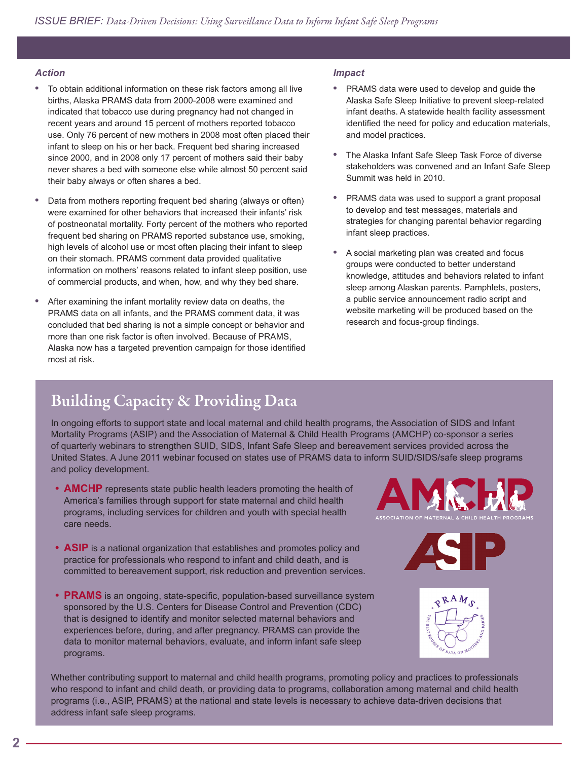#### *Action*

- **•** To obtain additional information on these risk factors among all live births, Alaska PRAMS data from 2000-2008 were examined and indicated that tobacco use during pregnancy had not changed in recent years and around 15 percent of mothers reported tobacco use. Only 76 percent of new mothers in 2008 most often placed their infant to sleep on his or her back. Frequent bed sharing increased since 2000, and in 2008 only 17 percent of mothers said their baby never shares a bed with someone else while almost 50 percent said their baby always or often shares a bed.
- **•** Data from mothers reporting frequent bed sharing (always or often) were examined for other behaviors that increased their infants' risk of postneonatal mortality. Forty percent of the mothers who reported frequent bed sharing on PRAMS reported substance use, smoking, high levels of alcohol use or most often placing their infant to sleep on their stomach. PRAMS comment data provided qualitative information on mothers' reasons related to infant sleep position, use of commercial products, and when, how, and why they bed share.
- **•** After examining the infant mortality review data on deaths, the PRAMS data on all infants, and the PRAMS comment data, it was concluded that bed sharing is not a simple concept or behavior and more than one risk factor is often involved. Because of PRAMS, Alaska now has a targeted prevention campaign for those identified most at risk.

#### *Impact*

- **•** PRAMS data were used to develop and guide the Alaska Safe Sleep Initiative to prevent sleep-related infant deaths. A statewide health facility assessment identified the need for policy and education materials, and model practices.
- **•** The Alaska Infant Safe Sleep Task Force of diverse stakeholders was convened and an Infant Safe Sleep Summit was held in 2010.
- **•** PRAMS data was used to support a grant proposal to develop and test messages, materials and strategies for changing parental behavior regarding infant sleep practices.
- **•** A social marketing plan was created and focus groups were conducted to better understand knowledge, attitudes and behaviors related to infant sleep among Alaskan parents. Pamphlets, posters, a public service announcement radio script and website marketing will be produced based on the research and focus-group findings.

# Building Capacity & Providing Data

In ongoing efforts to support state and local maternal and child health programs, the Association of SIDS and Infant Mortality Programs (ASIP) and the Association of Maternal & Child Health Programs (AMCHP) co-sponsor a series of quarterly webinars to strengthen SUID, SIDS, Infant Safe Sleep and bereavement services provided across the United States. A June 2011 webinar focused on states use of PRAMS data to inform SUID/SIDS/safe sleep programs and policy development.

- **AMCHP** represents state public health leaders promoting the health of America's families through support for state maternal and child health programs, including services for children and youth with special health care needs.
- **ASIP** is a national organization that establishes and promotes policy and practice for professionals who respond to infant and child death, and is committed to bereavement support, risk reduction and prevention services.
- PRAMS is an ongoing, state-specific, population-based surveillance system sponsored by the U.S. Centers for Disease Control and Prevention (CDC) that is designed to identify and monitor selected maternal behaviors and experiences before, during, and after pregnancy. PRAMS can provide the data to monitor maternal behaviors, evaluate, and inform infant safe sleep programs.





Whether contributing support to maternal and child health programs, promoting policy and practices to professionals who respond to infant and child death, or providing data to programs, collaboration among maternal and child health programs (i.e., ASIP, PRAMS) at the national and state levels is necessary to achieve data-driven decisions that address infant safe sleep programs.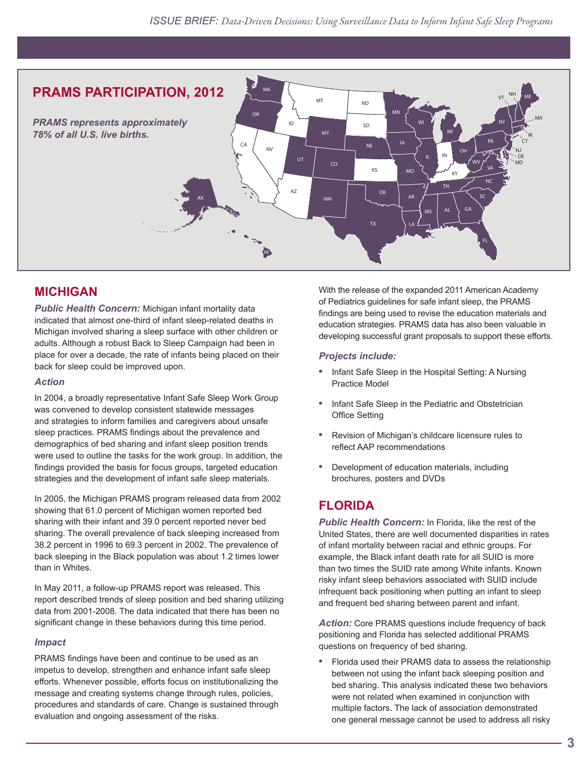

### **MICHIGAN**

*Public Health Concern:* Michigan infant mortality data indicated that almost one-third of infant sleep-related deaths in Michigan involved sharing a sleep surface with other children or adults. Although a robust Back to Sleep Campaign had been in place for over a decade, the rate of infants being placed on their back for sleep could be improved upon.

#### *Action*

In 2004, a broadly representative Infant Safe Sleep Work Group was convened to develop consistent statewide messages and strategies to inform families and caregivers about unsafe sleep practices. PRAMS findings about the prevalence and demographics of bed sharing and infant sleep position trends were used to outline the tasks for the work group. In addition, the findings provided the basis for focus groups, targeted education strategies and the development of infant safe sleep materials.

In 2005, the Michigan PRAMS program released data from 2002 showing that 61.0 percent of Michigan women reported bed sharing with their infant and 39.0 percent reported never bed sharing. The overall prevalence of back sleeping increased from 38.2 percent in 1996 to 69.3 percent in 2002. The prevalence of back sleeping in the Black population was about 1.2 times lower than in Whites.

In May 2011, a follow-up PRAMS report was released. This report described trends of sleep position and bed sharing utilizing data from 2001-2008. The data indicated that there has been no significant change in these behaviors during this time period.

#### *Impact*

PRAMS findings have been and continue to be used as an impetus to develop, strengthen and enhance infant safe sleep efforts. Whenever possible, efforts focus on institutionalizing the message and creating systems change through rules, policies, procedures and standards of care. Change is sustained through evaluation and ongoing assessment of the risks.

With the release of the expanded 2011 American Academy of Pediatrics guidelines for safe infant sleep, the PRAMS findings are being used to revise the education materials and education strategies. PRAMS data has also been valuable in developing successful grant proposals to support these efforts.

#### *Projects include:*

- **•** Infant Safe Sleep in the Hospital Setting: A Nursing Practice Model
- **•** Infant Safe Sleep in the Pediatric and Obstetrician Office Setting
- **•** Revision of Michigan's childcare licensure rules to reflect AAP recommendations
- **•** Development of education materials, including brochures, posters and DVDs

### **FLORIDA**

*Public Health Concern:* In Florida, like the rest of the United States, there are well documented disparities in rates of infant mortality between racial and ethnic groups. For example, the Black infant death rate for all SUID is more than two times the SUID rate among White infants. Known risky infant sleep behaviors associated with SUID include infrequent back positioning when putting an infant to sleep and frequent bed sharing between parent and infant.

*Action:* Core PRAMS questions include frequency of back positioning and Florida has selected additional PRAMS questions on frequency of bed sharing.

**•** Florida used their PRAMS data to assess the relationship between not using the infant back sleeping position and bed sharing. This analysis indicated these two behaviors were not related when examined in conjunction with multiple factors. The lack of association demonstrated one general message cannot be used to address all risky